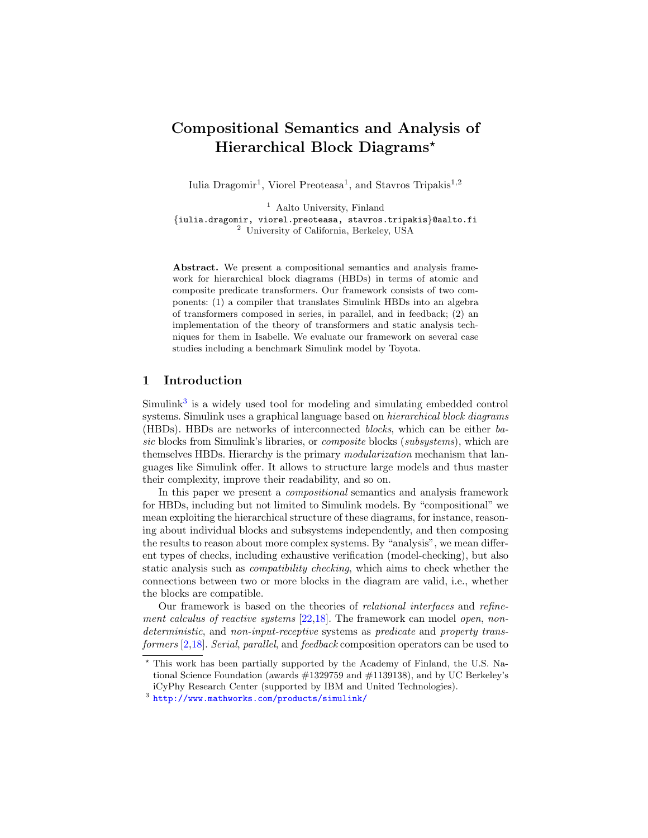# Compositional Semantics and Analysis of Hierarchical Block Diagrams?

Iulia Dragomir<sup>1</sup>, Viorel Preoteasa<sup>1</sup>, and Stavros Tripakis<sup>1,2</sup>

<sup>1</sup> Aalto University, Finland {iulia.dragomir, viorel.preoteasa, stavros.tripakis}@aalto.fi <sup>2</sup> University of California, Berkeley, USA

Abstract. We present a compositional semantics and analysis framework for hierarchical block diagrams (HBDs) in terms of atomic and composite predicate transformers. Our framework consists of two components: (1) a compiler that translates Simulink HBDs into an algebra of transformers composed in series, in parallel, and in feedback; (2) an implementation of the theory of transformers and static analysis techniques for them in Isabelle. We evaluate our framework on several case studies including a benchmark Simulink model by Toyota.

## 1 Introduction

Simulink<sup>[3](#page-0-0)</sup> is a widely used tool for modeling and simulating embedded control systems. Simulink uses a graphical language based on *hierarchical block diagrams* (HBDs). HBDs are networks of interconnected blocks, which can be either basic blocks from Simulink's libraries, or *composite* blocks (subsystems), which are themselves HBDs. Hierarchy is the primary modularization mechanism that languages like Simulink offer. It allows to structure large models and thus master their complexity, improve their readability, and so on.

In this paper we present a compositional semantics and analysis framework for HBDs, including but not limited to Simulink models. By "compositional" we mean exploiting the hierarchical structure of these diagrams, for instance, reasoning about individual blocks and subsystems independently, and then composing the results to reason about more complex systems. By "analysis", we mean different types of checks, including exhaustive verification (model-checking), but also static analysis such as compatibility checking, which aims to check whether the connections between two or more blocks in the diagram are valid, i.e., whether the blocks are compatible.

Our framework is based on the theories of relational interfaces and refinement calculus of reactive systems [\[22,](#page-17-0)[18\]](#page-17-1). The framework can model open, nondeterministic, and non-input-receptive systems as predicate and property transformers [\[2](#page-16-0)[,18\]](#page-17-1). Serial, parallel, and feedback composition operators can be used to

<sup>?</sup> This work has been partially supported by the Academy of Finland, the U.S. National Science Foundation (awards #1329759 and #1139138), and by UC Berkeley's iCyPhy Research Center (supported by IBM and United Technologies).

<span id="page-0-0"></span><sup>3</sup> <http://www.mathworks.com/products/simulink/>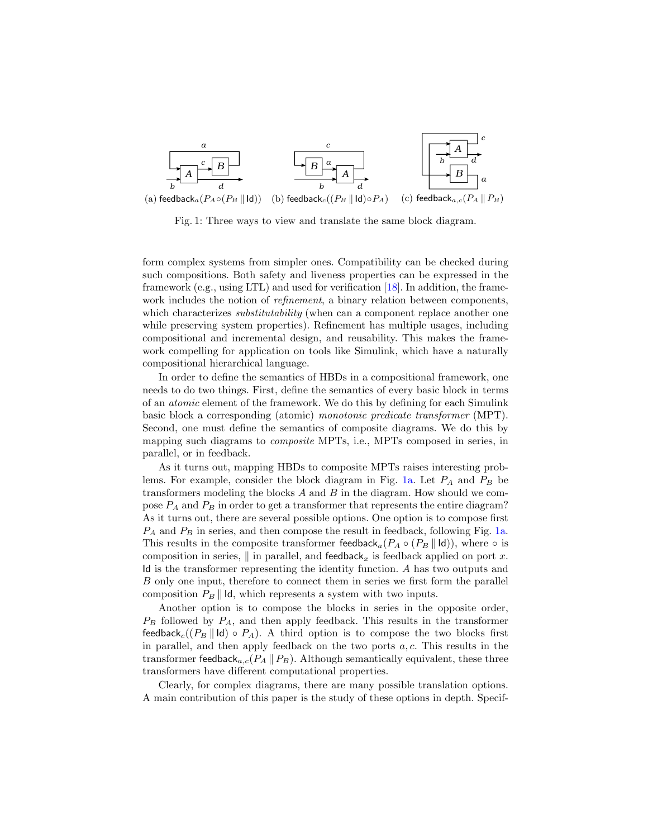<span id="page-1-1"></span><span id="page-1-0"></span>

Fig. 1: Three ways to view and translate the same block diagram.

form complex systems from simpler ones. Compatibility can be checked during such compositions. Both safety and liveness properties can be expressed in the framework (e.g., using LTL) and used for verification [\[18\]](#page-17-1). In addition, the framework includes the notion of *refinement*, a binary relation between components, which characterizes *substitutability* (when can a component replace another one while preserving system properties). Refinement has multiple usages, including compositional and incremental design, and reusability. This makes the framework compelling for application on tools like Simulink, which have a naturally compositional hierarchical language.

In order to define the semantics of HBDs in a compositional framework, one needs to do two things. First, define the semantics of every basic block in terms of an atomic element of the framework. We do this by defining for each Simulink basic block a corresponding (atomic) monotonic predicate transformer (MPT). Second, one must define the semantics of composite diagrams. We do this by mapping such diagrams to composite MPTs, i.e., MPTs composed in series, in parallel, or in feedback.

As it turns out, mapping HBDs to composite MPTs raises interesting prob-lems. For example, consider the block diagram in Fig. [1a.](#page-1-0) Let  $P_A$  and  $P_B$  be transformers modeling the blocks  $A$  and  $B$  in the diagram. How should we compose  $P_A$  and  $P_B$  in order to get a transformer that represents the entire diagram? As it turns out, there are several possible options. One option is to compose first  $P_A$  and  $P_B$  in series, and then compose the result in feedback, following Fig. [1a.](#page-1-0) This results in the composite transformer feedback<sub>a</sub>( $P_A \circ (P_B \parallel \mathsf{Id})$ ), where  $\circ$  is composition in series,  $\parallel$  in parallel, and feedback<sub>x</sub> is feedback applied on port x. Id is the transformer representing the identity function. A has two outputs and B only one input, therefore to connect them in series we first form the parallel composition  $P_B$  | Id, which represents a system with two inputs.

Another option is to compose the blocks in series in the opposite order,  $P_B$  followed by  $P_A$ , and then apply feedback. This results in the transformer feedback<sub>c</sub>( $(P_B \parallel \mathsf{Id}) \circ P_A$ ). A third option is to compose the two blocks first in parallel, and then apply feedback on the two ports  $a, c$ . This results in the transformer feedback<sub>a,c</sub>( $P_A \parallel P_B$ ). Although semantically equivalent, these three transformers have different computational properties.

Clearly, for complex diagrams, there are many possible translation options. A main contribution of this paper is the study of these options in depth. Specif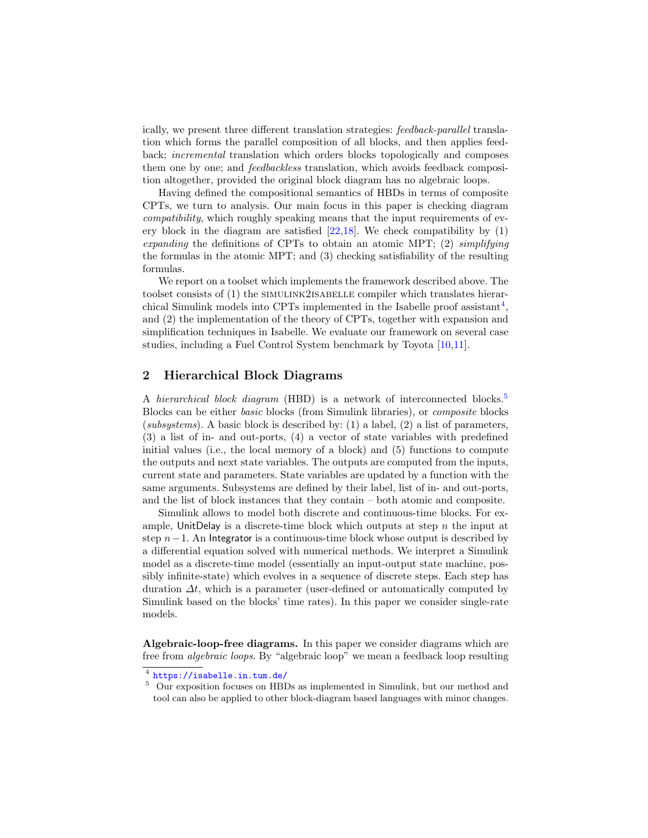ically, we present three different translation strategies: feedback-parallel translation which forms the parallel composition of all blocks, and then applies feedback; incremental translation which orders blocks topologically and composes them one by one; and *feedbackless* translation, which avoids feedback composition altogether, provided the original block diagram has no algebraic loops.

Having defined the compositional semantics of HBDs in terms of composite CPTs, we turn to analysis. Our main focus in this paper is checking diagram compatibility, which roughly speaking means that the input requirements of every block in the diagram are satisfied  $[22,18]$  $[22,18]$ . We check compatibility by  $(1)$ expanding the definitions of CPTs to obtain an atomic MPT; (2) simplifying the formulas in the atomic MPT; and (3) checking satisfiability of the resulting formulas.

We report on a toolset which implements the framework described above. The toolset consists of (1) the simulink2isabelle compiler which translates hierar-chical Simulink models into CPTs implemented in the Isabelle proof assistant<sup>[4](#page-2-0)</sup>, and (2) the implementation of the theory of CPTs, together with expansion and simplification techniques in Isabelle. We evaluate our framework on several case studies, including a Fuel Control System benchmark by Toyota [\[10,](#page-16-1)[11\]](#page-16-2).

# <span id="page-2-2"></span>2 Hierarchical Block Diagrams

A hierarchical block diagram (HBD) is a network of interconnected blocks.<sup>[5](#page-2-1)</sup> Blocks can be either basic blocks (from Simulink libraries), or composite blocks (subsystems). A basic block is described by:  $(1)$  a label,  $(2)$  a list of parameters, (3) a list of in- and out-ports, (4) a vector of state variables with predefined initial values (i.e., the local memory of a block) and (5) functions to compute the outputs and next state variables. The outputs are computed from the inputs, current state and parameters. State variables are updated by a function with the same arguments. Subsystems are defined by their label, list of in- and out-ports, and the list of block instances that they contain – both atomic and composite.

Simulink allows to model both discrete and continuous-time blocks. For example, UnitDelay is a discrete-time block which outputs at step  $n$  the input at step  $n-1$ . An Integrator is a continuous-time block whose output is described by a differential equation solved with numerical methods. We interpret a Simulink model as a discrete-time model (essentially an input-output state machine, possibly infinite-state) which evolves in a sequence of discrete steps. Each step has duration  $\Delta t$ , which is a parameter (user-defined or automatically computed by Simulink based on the blocks' time rates). In this paper we consider single-rate models.

Algebraic-loop-free diagrams. In this paper we consider diagrams which are free from algebraic loops. By "algebraic loop" we mean a feedback loop resulting

<span id="page-2-0"></span><sup>4</sup> <https://isabelle.in.tum.de/>

<span id="page-2-1"></span><sup>5</sup> Our exposition focuses on HBDs as implemented in Simulink, but our method and tool can also be applied to other block-diagram based languages with minor changes.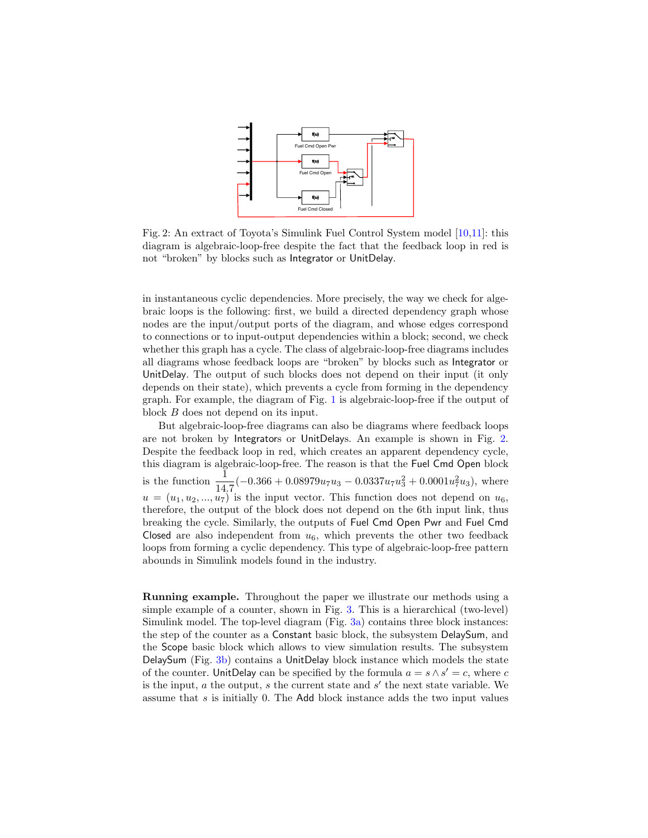<span id="page-3-0"></span>

Fig. 2: An extract of Toyota's Simulink Fuel Control System model [\[10,](#page-16-1)[11\]](#page-16-2): this diagram is algebraic-loop-free despite the fact that the feedback loop in red is not "broken" by blocks such as Integrator or UnitDelay.

in instantaneous cyclic dependencies. More precisely, the way we check for algebraic loops is the following: first, we build a directed dependency graph whose nodes are the input/output ports of the diagram, and whose edges correspond to connections or to input-output dependencies within a block; second, we check whether this graph has a cycle. The class of algebraic-loop-free diagrams includes all diagrams whose feedback loops are "broken" by blocks such as Integrator or UnitDelay. The output of such blocks does not depend on their input (it only depends on their state), which prevents a cycle from forming in the dependency graph. For example, the diagram of Fig. [1](#page-1-1) is algebraic-loop-free if the output of block B does not depend on its input.

But algebraic-loop-free diagrams can also be diagrams where feedback loops are not broken by Integrators or UnitDelays. An example is shown in Fig. [2.](#page-3-0) Despite the feedback loop in red, which creates an apparent dependency cycle, this diagram is algebraic-loop-free. The reason is that the Fuel Cmd Open block is the function  $\frac{1}{14.7}(-0.366 + 0.08979u_7u_3 - 0.0337u_7u_3^2 + 0.0001u_7^2u_3)$ , where  $u = (u_1, u_2, ..., u_7)$  is the input vector. This function does not depend on  $u_6$ , therefore, the output of the block does not depend on the 6th input link, thus breaking the cycle. Similarly, the outputs of Fuel Cmd Open Pwr and Fuel Cmd Closed are also independent from  $u_6$ , which prevents the other two feedback loops from forming a cyclic dependency. This type of algebraic-loop-free pattern abounds in Simulink models found in the industry.

Running example. Throughout the paper we illustrate our methods using a simple example of a counter, shown in Fig. [3.](#page-4-0) This is a hierarchical (two-level) Simulink model. The top-level diagram (Fig. [3a\)](#page-4-1) contains three block instances: the step of the counter as a Constant basic block, the subsystem DelaySum, and the Scope basic block which allows to view simulation results. The subsystem DelaySum (Fig. [3b\)](#page-4-2) contains a UnitDelay block instance which models the state of the counter. UnitDelay can be specified by the formula  $a = s \wedge s' = c$ , where c is the input,  $a$  the output,  $s$  the current state and  $s'$  the next state variable. We assume that s is initially 0. The Add block instance adds the two input values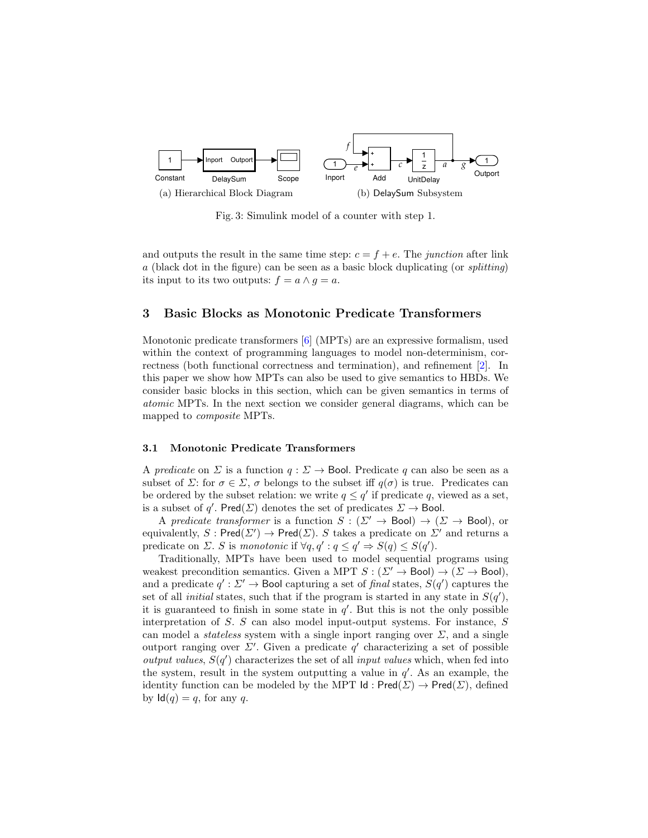<span id="page-4-1"></span><span id="page-4-0"></span>

<span id="page-4-2"></span>Fig. 3: Simulink model of a counter with step 1.

and outputs the result in the same time step:  $c = f + e$ . The junction after link a (black dot in the figure) can be seen as a basic block duplicating (or splitting) its input to its two outputs:  $f = a \wedge g = a$ .

# 3 Basic Blocks as Monotonic Predicate Transformers

Monotonic predicate transformers [\[6\]](#page-16-3) (MPTs) are an expressive formalism, used within the context of programming languages to model non-determinism, correctness (both functional correctness and termination), and refinement [\[2\]](#page-16-0). In this paper we show how MPTs can also be used to give semantics to HBDs. We consider basic blocks in this section, which can be given semantics in terms of atomic MPTs. In the next section we consider general diagrams, which can be mapped to composite MPTs.

## <span id="page-4-3"></span>3.1 Monotonic Predicate Transformers

A predicate on  $\Sigma$  is a function  $q : \Sigma \to \mathsf{Bool}$ . Predicate q can also be seen as a subset of  $\Sigma$ : for  $\sigma \in \Sigma$ ,  $\sigma$  belongs to the subset iff  $q(\sigma)$  is true. Predicates can be ordered by the subset relation: we write  $q \leq q'$  if predicate q, viewed as a set, is a subset of q'. Pred $(\Sigma)$  denotes the set of predicates  $\Sigma \to$  Bool.

A predicate transformer is a function  $S : (\Sigma' \to \text{Bool}) \to (\Sigma \to \text{Bool})$ , or equivalently,  $S: \mathsf{Pred}(\Sigma') \to \mathsf{Pred}(\Sigma)$ . S takes a predicate on  $\Sigma'$  and returns a predicate on  $\Sigma$ . S is monotonic if  $\forall q, q': q \leq q' \Rightarrow S(q) \leq S(q').$ 

Traditionally, MPTs have been used to model sequential programs using weakest precondition semantics. Given a MPT  $S : (\Sigma' \to \text{Bool}) \to (\Sigma \to \text{Bool})$ , and a predicate  $q' : \Sigma' \to \mathsf{Bool}$  capturing a set of final states,  $S(q')$  captures the set of all *initial* states, such that if the program is started in any state in  $S(q')$ , it is guaranteed to finish in some state in  $q'$ . But this is not the only possible interpretation of S. S can also model input-output systems. For instance, S can model a *stateless* system with a single inport ranging over  $\Sigma$ , and a single outport ranging over  $\Sigma'$ . Given a predicate q' characterizing a set of possible *output values*,  $S(q')$  characterizes the set of all *input values* which, when fed into the system, result in the system outputting a value in  $q'$ . As an example, the identity function can be modeled by the MPT  $\mathsf{Id}$  : Pred $(\Sigma) \to \mathsf{Pred}(\Sigma)$ , defined by  $\mathsf{Id}(q) = q$ , for any q.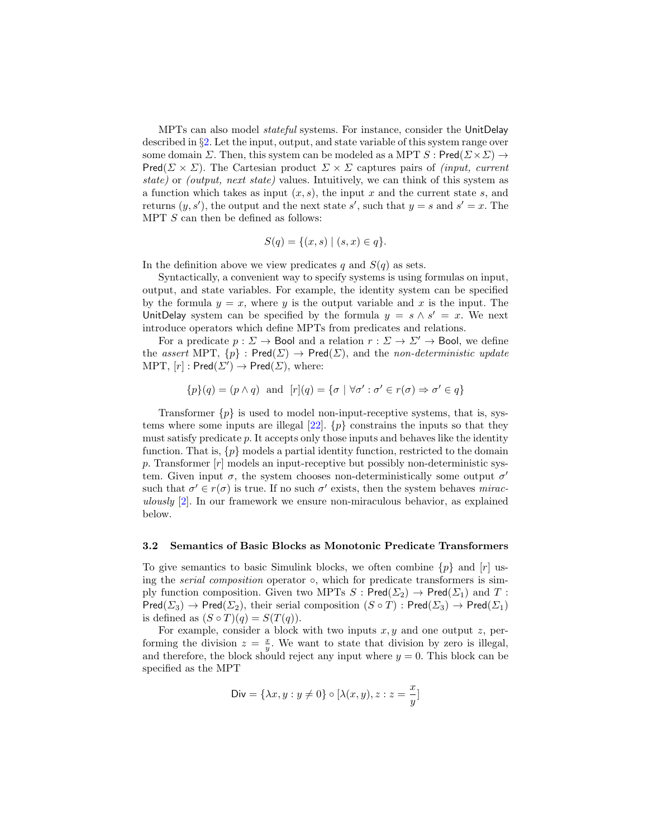MPTs can also model stateful systems. For instance, consider the UnitDelay described in §[2.](#page-2-2) Let the input, output, and state variable of this system range over some domain  $\Sigma$ . Then, this system can be modeled as a MPT  $S$ : Pred $(\Sigma \times \Sigma) \rightarrow$ Pred( $\Sigma \times \Sigma$ ). The Cartesian product  $\Sigma \times \Sigma$  captures pairs of *(input, current*) state) or (output, next state) values. Intuitively, we can think of this system as a function which takes as input  $(x, s)$ , the input x and the current state s, and returns  $(y, s')$ , the output and the next state s', such that  $y = s$  and  $s' = x$ . The MPT S can then be defined as follows:

$$
S(q) = \{(x, s) \mid (s, x) \in q\}.
$$

In the definition above we view predicates q and  $S(q)$  as sets.

Syntactically, a convenient way to specify systems is using formulas on input, output, and state variables. For example, the identity system can be specified by the formula  $y = x$ , where y is the output variable and x is the input. The UnitDelay system can be specified by the formula  $y = s \wedge s' = x$ . We next introduce operators which define MPTs from predicates and relations.

For a predicate  $p : \Sigma \to \mathsf{Bool}$  and a relation  $r : \Sigma \to \Sigma' \to \mathsf{Bool}$ , we define the assert MPT,  $\{p\}$ : Pred $(\Sigma)$   $\rightarrow$  Pred $(\Sigma)$ , and the non-deterministic update MPT,  $[r]: \mathsf{Pred}(\Sigma') \to \mathsf{Pred}(\Sigma)$ , where:

$$
\{p\}(q) = (p \land q) \text{ and } [r](q) = \{\sigma \mid \forall \sigma' : \sigma' \in r(\sigma) \Rightarrow \sigma' \in q\}
$$

Transformer  $\{p\}$  is used to model non-input-receptive systems, that is, systems where some inputs are illegal  $[22]$ .  $\{p\}$  constrains the inputs so that they must satisfy predicate p. It accepts only those inputs and behaves like the identity function. That is,  $\{p\}$  models a partial identity function, restricted to the domain p. Transformer  $[r]$  models an input-receptive but possibly non-deterministic system. Given input  $\sigma$ , the system chooses non-deterministically some output  $\sigma'$ such that  $\sigma' \in r(\sigma)$  is true. If no such  $\sigma'$  exists, then the system behaves mirac-ulously [\[2\]](#page-16-0). In our framework we ensure non-miraculous behavior, as explained below.

## 3.2 Semantics of Basic Blocks as Monotonic Predicate Transformers

To give semantics to basic Simulink blocks, we often combine  $\{p\}$  and  $[r]$  using the *serial composition* operator  $\circ$ , which for predicate transformers is simply function composition. Given two MPTs  $S : Pred(\Sigma_2) \to Pred(\Sigma_1)$  and T:  $Pred(\Sigma_3) \to Pred(\Sigma_2)$ , their serial composition  $(S \circ T)$ :  $Pred(\Sigma_3) \to Pred(\Sigma_1)$ is defined as  $(S \circ T)(q) = S(T(q))$ .

For example, consider a block with two inputs  $x, y$  and one output  $z$ , performing the division  $z = \frac{x}{y}$ . We want to state that division by zero is illegal, and therefore, the block should reject any input where  $y = 0$ . This block can be specified as the MPT

$$
\text{Div} = \{\lambda x, y : y \neq 0\} \circ [\lambda(x, y), z : z = \frac{x}{y}]
$$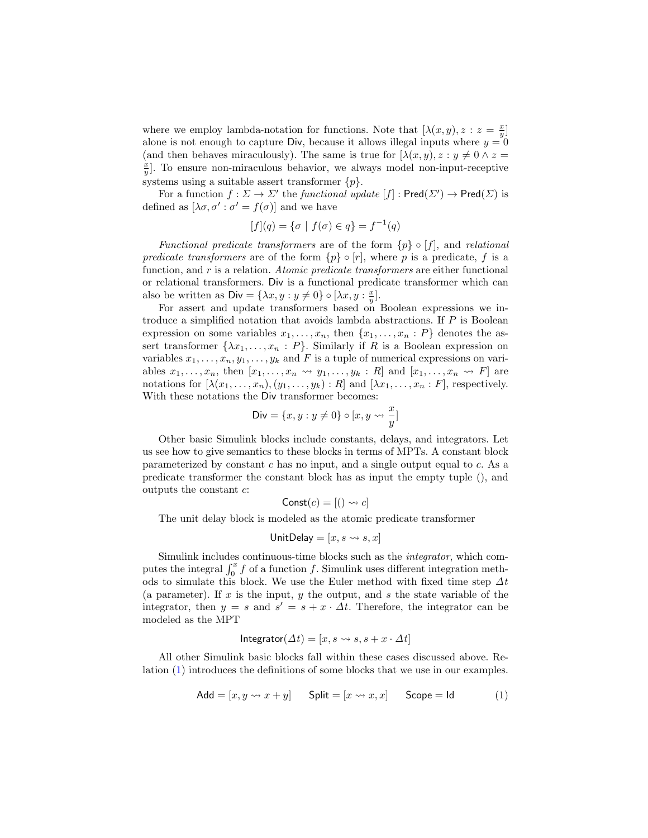where we employ lambda-notation for functions. Note that  $[\lambda(x, y), z : z = \frac{x}{y}]$ alone is not enough to capture Div, because it allows illegal inputs where  $y = 0$ (and then behaves miraculously). The same is true for  $[\lambda(x, y), z : y \neq 0 \land z =$  $\frac{x}{y}$ . To ensure non-miraculous behavior, we always model non-input-receptive systems using a suitable assert transformer  $\{p\}.$ 

For a function  $f: \Sigma \to \Sigma'$  the *functional update*  $[f] : \mathsf{Pred}(\Sigma') \to \mathsf{Pred}(\Sigma)$  is defined as  $[\lambda \sigma, \sigma' : \sigma' = f(\sigma)]$  and we have

$$
[f](q) = \{ \sigma \mid f(\sigma) \in q \} = f^{-1}(q)
$$

Functional predicate transformers are of the form  $\{p\} \circ [f]$ , and relational predicate transformers are of the form  $\{p\} \circ [r]$ , where p is a predicate, f is a function, and r is a relation. Atomic predicate transformers are either functional or relational transformers. Div is a functional predicate transformer which can also be written as  $\text{Div} = {\lambda x, y : y \neq 0} \circ [\lambda x, y : \frac{x}{y}]$ .

For assert and update transformers based on Boolean expressions we introduce a simplified notation that avoids lambda abstractions. If P is Boolean expression on some variables  $x_1, \ldots, x_n$ , then  $\{x_1, \ldots, x_n : P\}$  denotes the assert transformer  $\{\lambda x_1, \ldots, x_n : P\}$ . Similarly if R is a Boolean expression on variables  $x_1, \ldots, x_n, y_1, \ldots, y_k$  and F is a tuple of numerical expressions on variables  $x_1, \ldots, x_n$ , then  $[x_1, \ldots, x_n \leadsto y_1, \ldots, y_k : R]$  and  $[x_1, \ldots, x_n \leadsto F]$  are notations for  $[\lambda(x_1, \ldots, x_n), (y_1, \ldots, y_k) : R]$  and  $[\lambda x_1, \ldots, x_n : F]$ , respectively. With these notations the Div transformer becomes:

$$
\mathsf{Div} = \{x,y : y \neq 0\} \circ [x,y \leadsto \frac{x}{y}]
$$

Other basic Simulink blocks include constants, delays, and integrators. Let us see how to give semantics to these blocks in terms of MPTs. A constant block parameterized by constant c has no input, and a single output equal to c. As a predicate transformer the constant block has as input the empty tuple (), and outputs the constant c:

$$
Const(c) = [() \leadsto c]
$$

The unit delay block is modeled as the atomic predicate transformer

$$
\mathsf{UnitDelay} = [x, s \leadsto s, x]
$$

Simulink includes continuous-time blocks such as the integrator, which computes the integral  $\int_0^x f$  of a function f. Simulink uses different integration methods to simulate this block. We use the Euler method with fixed time step  $\Delta t$ (a parameter). If x is the input, y the output, and s the state variable of the integrator, then  $y = s$  and  $s' = s + x \cdot \Delta t$ . Therefore, the integrator can be modeled as the MPT

$$
\text{Integrator}(\Delta t) = [x, s \leadsto s, s + x \cdot \Delta t]
$$

All other Simulink basic blocks fall within these cases discussed above. Relation [\(1\)](#page-6-0) introduces the definitions of some blocks that we use in our examples.

<span id="page-6-0"></span>
$$
Add = [x, y \leadsto x + y] \qquad \text{Split} = [x \leadsto x, x] \qquad \text{Scope} = \text{Id} \tag{1}
$$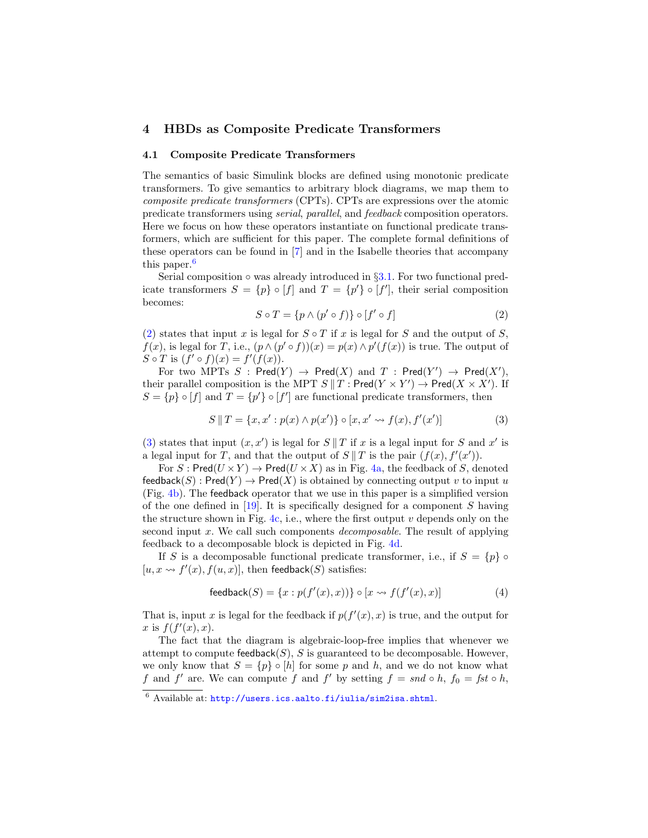## 4 HBDs as Composite Predicate Transformers

## 4.1 Composite Predicate Transformers

The semantics of basic Simulink blocks are defined using monotonic predicate transformers. To give semantics to arbitrary block diagrams, we map them to composite predicate transformers (CPTs). CPTs are expressions over the atomic predicate transformers using serial, parallel, and feedback composition operators. Here we focus on how these operators instantiate on functional predicate transformers, which are sufficient for this paper. The complete formal definitions of these operators can be found in [\[7\]](#page-16-4) and in the Isabelle theories that accompany this paper.<sup>[6](#page-7-0)</sup>

Serial composition  $\circ$  was already introduced in §[3.1.](#page-4-3) For two functional predicate transformers  $S = \{p\} \circ [f]$  and  $T = \{p'\} \circ [f']$ , their serial composition becomes:

<span id="page-7-1"></span>
$$
S \circ T = \{ p \land (p' \circ f) \} \circ [f' \circ f]
$$
\n
$$
(2)
$$

[\(2\)](#page-7-1) states that input x is legal for  $S \circ T$  if x is legal for S and the output of S,  $f(x)$ , is legal for T, i.e.,  $(p \wedge (p' \circ f))(x) = p(x) \wedge p'(f(x))$  is true. The output of  $S \circ T$  is  $(f' \circ f)(x) = f'(f(x)).$ 

For two MPTs  $S$  :  $\mathsf{Pred}(Y) \to \mathsf{Pred}(X)$  and  $T$  :  $\mathsf{Pred}(Y') \to \mathsf{Pred}(X'),$ their parallel composition is the MPT  $S \parallel T : \mathsf{Pred}(Y \times Y') \to \mathsf{Pred}(X \times X')$ . If  $S = \{p\} \circ [f]$  and  $T = \{p'\} \circ [f']$  are functional predicate transformers, then

<span id="page-7-2"></span>
$$
S \| T = \{x, x' : p(x) \land p(x')\} \circ [x, x' \leadsto f(x), f'(x')]
$$
 (3)

[\(3\)](#page-7-2) states that input  $(x, x')$  is legal for  $S \| T$  if x is a legal input for S and x' is a legal input for T, and that the output of  $S \| T$  is the pair  $(f(x), f'(x'))$ .

For  $S: \mathsf{Pred}(U \times Y) \to \mathsf{Pred}(U \times X)$  as in Fig. [4a,](#page-8-0) the feedback of S, denoted feedback(S) : Pred(Y)  $\rightarrow$  Pred(X) is obtained by connecting output v to input u (Fig. [4b\)](#page-8-1). The feedback operator that we use in this paper is a simplified version of the one defined in  $[19]$ . It is specifically designed for a component S having the structure shown in Fig. [4c,](#page-8-2) i.e., where the first output  $v$  depends only on the second input x. We call such components *decomposable*. The result of applying feedback to a decomposable block is depicted in Fig. [4d.](#page-8-3)

If S is a decomposable functional predicate transformer, i.e., if  $S = \{p\} \circ$  $[u, x \leadsto f'(x), f(u, x)]$ , then feedback(S) satisfies:

<span id="page-7-3"></span>
$$
feedback(S) = \{x : p(f'(x), x))\} \circ [x \leadsto f(f'(x), x)]
$$
\n(4)

That is, input x is legal for the feedback if  $p(f'(x), x)$  is true, and the output for x is  $f(f'(x), x)$ .

The fact that the diagram is algebraic-loop-free implies that whenever we attempt to compute feedback $(S)$ , S is guaranteed to be decomposable. However, we only know that  $S = \{p\} \circ [h]$  for some p and h, and we do not know what f and f' are. We can compute f and f' by setting  $f = snd \circ h$ ,  $f_0 = fst \circ h$ ,

<span id="page-7-0"></span> $\overline{6}$  Available at: <http://users.ics.aalto.fi/iulia/sim2isa.shtml>.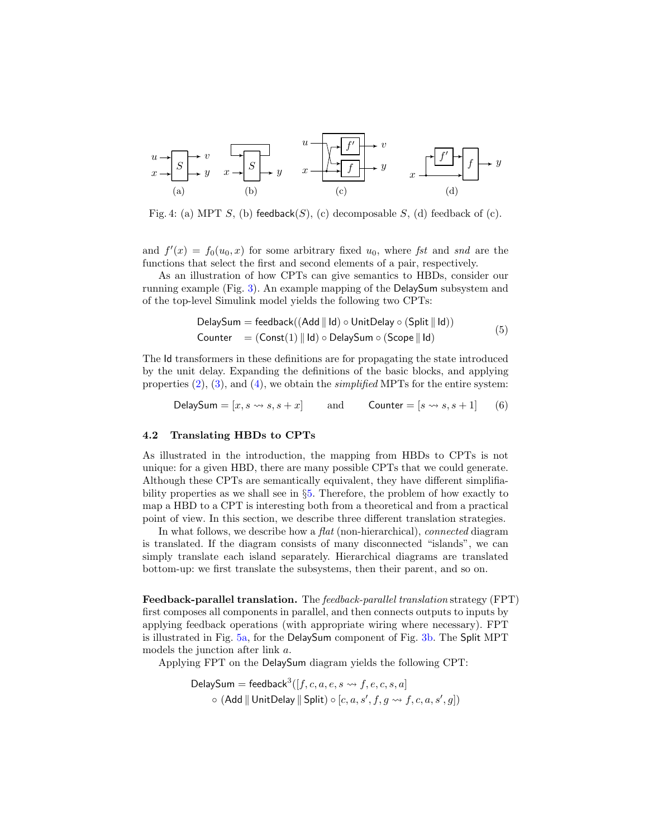<span id="page-8-2"></span><span id="page-8-1"></span><span id="page-8-0"></span>
$$
u \rightarrow S \rightarrow v
$$
  
\n $x \rightarrow S \rightarrow y$   
\n $x \rightarrow S \rightarrow y$   
\n $x \rightarrow y$   
\n $x \rightarrow y$   
\n $x \rightarrow y$   
\n $x \rightarrow y$   
\n $x \rightarrow y$   
\n $x \rightarrow y$   
\n $x \rightarrow y$   
\n $x \rightarrow y$   
\n $x \rightarrow y$ 

Fig. 4: (a) MPT S, (b) feedback $(S)$ , (c) decomposable S, (d) feedback of (c).

and  $f'(x) = f_0(u_0, x)$  for some arbitrary fixed  $u_0$ , where fst and snd are the functions that select the first and second elements of a pair, respectively.

As an illustration of how CPTs can give semantics to HBDs, consider our running example (Fig. [3\)](#page-4-0). An example mapping of the DelaySum subsystem and of the top-level Simulink model yields the following two CPTs:

<span id="page-8-5"></span><span id="page-8-3"></span>
$$
DelaySum = feedback((Add || Id) \circ UnitDelay \circ (Split || Id))
$$
  
Counter = (Const(1) || Id) \circ DelaySum \circ (Scope || Id) (5)

The Id transformers in these definitions are for propagating the state introduced by the unit delay. Expanding the definitions of the basic blocks, and applying properties  $(2)$ ,  $(3)$ , and  $(4)$ , we obtain the *simplified* MPTs for the entire system:

<span id="page-8-6"></span>
$$
DelaySum = [x, s \leadsto s, s + x] \qquad and \qquad Counter = [s \leadsto s, s + 1] \qquad (6)
$$

#### <span id="page-8-4"></span>4.2 Translating HBDs to CPTs

As illustrated in the introduction, the mapping from HBDs to CPTs is not unique: for a given HBD, there are many possible CPTs that we could generate. Although these CPTs are semantically equivalent, they have different simplifiability properties as we shall see in §[5.](#page-11-0) Therefore, the problem of how exactly to map a HBD to a CPT is interesting both from a theoretical and from a practical point of view. In this section, we describe three different translation strategies.

In what follows, we describe how a flat (non-hierarchical), connected diagram is translated. If the diagram consists of many disconnected "islands", we can simply translate each island separately. Hierarchical diagrams are translated bottom-up: we first translate the subsystems, then their parent, and so on.

Feedback-parallel translation. The feedback-parallel translation strategy (FPT) first composes all components in parallel, and then connects outputs to inputs by applying feedback operations (with appropriate wiring where necessary). FPT is illustrated in Fig. [5a,](#page-9-0) for the DelaySum component of Fig. [3b.](#page-4-2) The Split MPT models the junction after link a.

Applying FPT on the DelaySum diagram yields the following CPT:

$$
\text{DelaySum} = \text{feedback}^3([f, c, a, e, s \leadsto f, e, c, s, a])
$$
  
 
$$
\circ (\text{Add} \parallel \text{UnitDelay} \parallel \text{Split}) \circ [c, a, s', f, g \leadsto f, c, a, s', g])
$$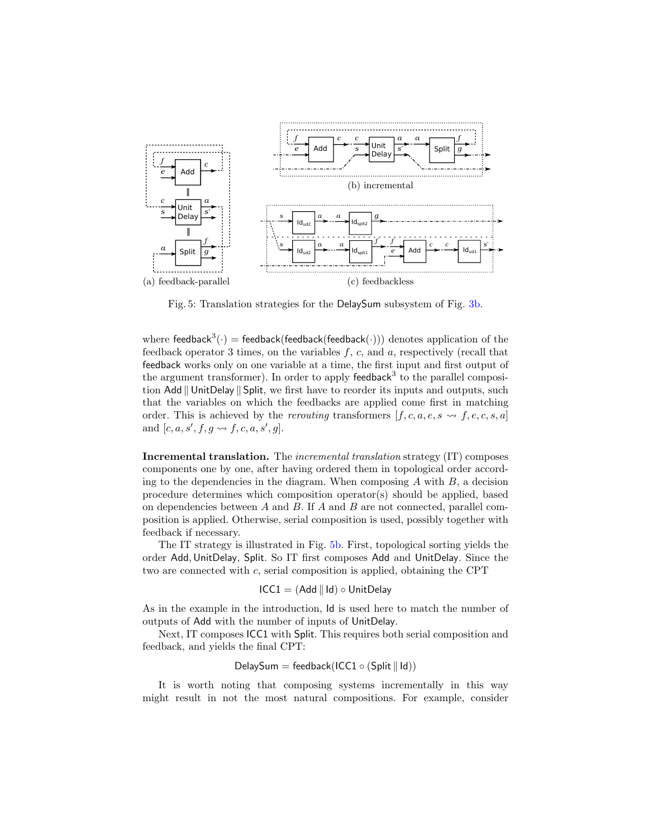<span id="page-9-1"></span><span id="page-9-0"></span>

<span id="page-9-2"></span>Fig. 5: Translation strategies for the DelaySum subsystem of Fig. [3b.](#page-4-2)

where feedback<sup>3</sup>( $\cdot$ ) = feedback(feedback(feedback( $\cdot$ ))) denotes application of the feedback operator 3 times, on the variables  $f, c$ , and  $a$ , respectively (recall that feedback works only on one variable at a time, the first input and first output of the argument transformer). In order to apply feedback<sup>3</sup> to the parallel composition  $Add \, ||$  UnitDelay  $||$  Split, we first have to reorder its inputs and outputs, such that the variables on which the feedbacks are applied come first in matching order. This is achieved by the *rerouting* transformers  $[f, c, a, e, s \leadsto f, e, c, s, a]$ and  $[c, a, s', f, g \leadsto f, c, a, s', g]$ .

Incremental translation. The incremental translation strategy (IT) composes components one by one, after having ordered them in topological order according to the dependencies in the diagram. When composing  $A$  with  $B$ , a decision procedure determines which composition operator(s) should be applied, based on dependencies between  $A$  and  $B$ . If  $A$  and  $B$  are not connected, parallel composition is applied. Otherwise, serial composition is used, possibly together with feedback if necessary.

The IT strategy is illustrated in Fig. [5b.](#page-9-1) First, topological sorting yields the order Add,UnitDelay, Split. So IT first composes Add and UnitDelay. Since the two are connected with c, serial composition is applied, obtaining the CPT

$$
ICC1 = (Add \parallel Id) \circ UnitDelay
$$

As in the example in the introduction, Id is used here to match the number of outputs of Add with the number of inputs of UnitDelay.

Next, IT composes ICC1 with Split. This requires both serial composition and feedback, and yields the final CPT:

$$
DelaySum = feedback(ICC1 \circ (Split || Id))
$$

It is worth noting that composing systems incrementally in this way might result in not the most natural compositions. For example, consider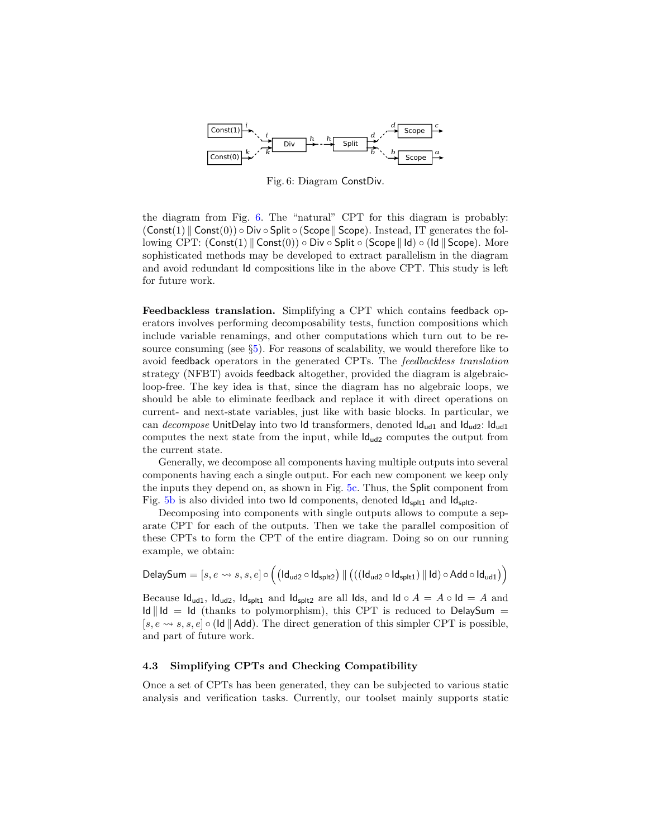<span id="page-10-0"></span>

Fig. 6: Diagram ConstDiv.

the diagram from Fig. [6.](#page-10-0) The "natural" CPT for this diagram is probably:  $(Const(1)$   $\mathcal{C}$ Const $(0)$ ) ∘ Div ∘ Split ∘ (Scope  $\mathcal{C}$  Scope). Instead, IT generates the following CPT:  $(Const(1) \parallel Const(0)) \circ Div \circ Split \circ (Scope \parallel Id) \circ (Id \parallel Score)$ . More sophisticated methods may be developed to extract parallelism in the diagram and avoid redundant Id compositions like in the above CPT. This study is left for future work.

Feedbackless translation. Simplifying a CPT which contains feedback operators involves performing decomposability tests, function compositions which include variable renamings, and other computations which turn out to be resource consuming (see  $\S5$ ). For reasons of scalability, we would therefore like to avoid feedback operators in the generated CPTs. The feedbackless translation strategy (NFBT) avoids feedback altogether, provided the diagram is algebraicloop-free. The key idea is that, since the diagram has no algebraic loops, we should be able to eliminate feedback and replace it with direct operations on current- and next-state variables, just like with basic blocks. In particular, we can decompose UnitDelay into two Id transformers, denoted  $Id_{\text{udd1}}$  and  $Id_{\text{udd2}}$ :  $Id_{\text{udd1}}$ computes the next state from the input, while  $\mathsf{Id}_{\mathsf{ud2}}$  computes the output from the current state.

Generally, we decompose all components having multiple outputs into several components having each a single output. For each new component we keep only the inputs they depend on, as shown in Fig. [5c.](#page-9-2) Thus, the Split component from Fig. [5b](#page-9-1) is also divided into two Id components, denoted  $\mathsf{Id}_{\mathsf{splt1}}$  and  $\mathsf{Id}_{\mathsf{splt2}}$ .

Decomposing into components with single outputs allows to compute a separate CPT for each of the outputs. Then we take the parallel composition of these CPTs to form the CPT of the entire diagram. Doing so on our running example, we obtain:

$$
\text{DelaySum} = [s, e \leadsto s, s, e] \circ \Big( \big(\mathsf{Id}_{\mathsf{ud2}} \circ \mathsf{Id}_{\mathsf{splt2}}\big) \mathbin{\|} \big( ((\mathsf{Id}_{\mathsf{ud2}} \circ \mathsf{Id}_{\mathsf{splt1}}) \mathbin{\|} \mathsf{Id}) \circ \mathsf{Add} \circ \mathsf{Id}_{\mathsf{ud1}} \big) \Big)
$$

Because  $Id_{ud1}$ ,  $Id_{ud2}$ ,  $Id_{split1}$  and  $Id_{split2}$  are all  $lds$ , and  $Id \circ A = A \circ Id = A$  and  $\text{Id} \parallel \text{Id} = \text{Id}$  (thanks to polymorphism), this CPT is reduced to DelaySum =  $[s, e \leadsto s, s, e] \circ (\mathsf{Id} \parallel \mathsf{Add})$ . The direct generation of this simpler CPT is possible, and part of future work.

## 4.3 Simplifying CPTs and Checking Compatibility

Once a set of CPTs has been generated, they can be subjected to various static analysis and verification tasks. Currently, our toolset mainly supports static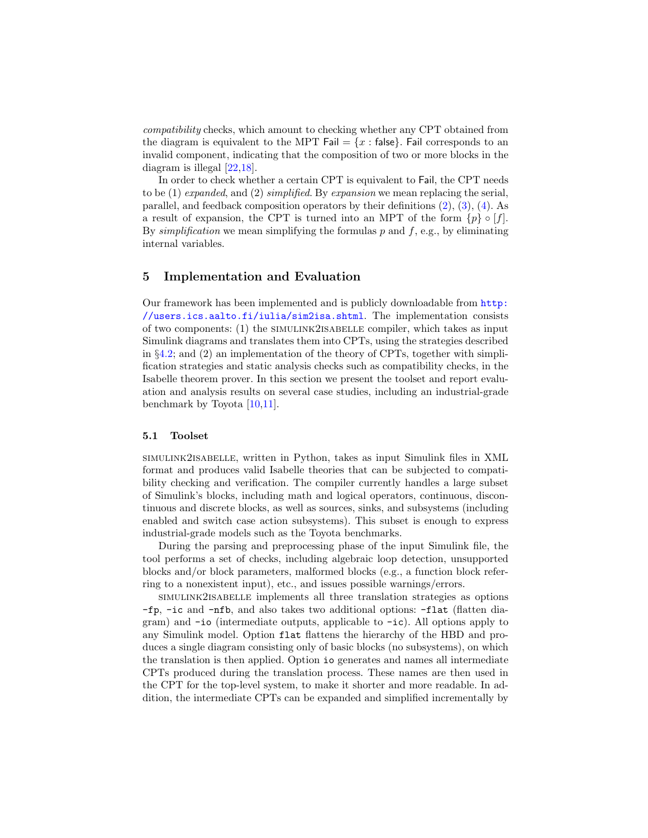compatibility checks, which amount to checking whether any CPT obtained from the diagram is equivalent to the MPT Fail =  $\{x : \text{false}\}\$ . Fail corresponds to an invalid component, indicating that the composition of two or more blocks in the diagram is illegal [\[22,](#page-17-0)[18\]](#page-17-1).

In order to check whether a certain CPT is equivalent to Fail, the CPT needs to be (1) expanded, and (2) simplified. By expansion we mean replacing the serial, parallel, and feedback composition operators by their definitions  $(2)$ ,  $(3)$ ,  $(4)$ . As a result of expansion, the CPT is turned into an MPT of the form  $\{p\} \circ [f]$ . By simplification we mean simplifying the formulas  $p$  and  $f$ , e.g., by eliminating internal variables.

# <span id="page-11-0"></span>5 Implementation and Evaluation

Our framework has been implemented and is publicly downloadable from [http:](http://users.ics.aalto.fi/iulia/sim2isa.shtml) [//users.ics.aalto.fi/iulia/sim2isa.shtml](http://users.ics.aalto.fi/iulia/sim2isa.shtml). The implementation consists of two components:  $(1)$  the SIMULINK2ISABELLE compiler, which takes as input Simulink diagrams and translates them into CPTs, using the strategies described in §[4.2;](#page-8-4) and (2) an implementation of the theory of CPTs, together with simplification strategies and static analysis checks such as compatibility checks, in the Isabelle theorem prover. In this section we present the toolset and report evaluation and analysis results on several case studies, including an industrial-grade benchmark by Toyota  $[10,11]$  $[10,11]$ .

## 5.1 Toolset

simulink2isabelle, written in Python, takes as input Simulink files in XML format and produces valid Isabelle theories that can be subjected to compatibility checking and verification. The compiler currently handles a large subset of Simulink's blocks, including math and logical operators, continuous, discontinuous and discrete blocks, as well as sources, sinks, and subsystems (including enabled and switch case action subsystems). This subset is enough to express industrial-grade models such as the Toyota benchmarks.

During the parsing and preprocessing phase of the input Simulink file, the tool performs a set of checks, including algebraic loop detection, unsupported blocks and/or block parameters, malformed blocks (e.g., a function block referring to a nonexistent input), etc., and issues possible warnings/errors.

simulink2isabelle implements all three translation strategies as options -fp, -ic and -nfb, and also takes two additional options: -flat (flatten diagram) and -io (intermediate outputs, applicable to -ic). All options apply to any Simulink model. Option flat flattens the hierarchy of the HBD and produces a single diagram consisting only of basic blocks (no subsystems), on which the translation is then applied. Option io generates and names all intermediate CPTs produced during the translation process. These names are then used in the CPT for the top-level system, to make it shorter and more readable. In addition, the intermediate CPTs can be expanded and simplified incrementally by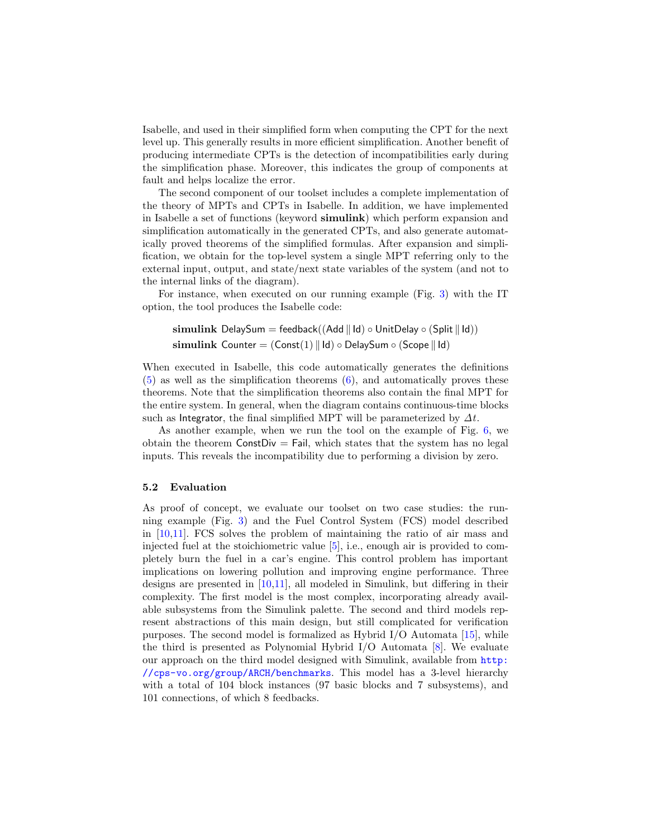Isabelle, and used in their simplified form when computing the CPT for the next level up. This generally results in more efficient simplification. Another benefit of producing intermediate CPTs is the detection of incompatibilities early during the simplification phase. Moreover, this indicates the group of components at fault and helps localize the error.

The second component of our toolset includes a complete implementation of the theory of MPTs and CPTs in Isabelle. In addition, we have implemented in Isabelle a set of functions (keyword simulink) which perform expansion and simplification automatically in the generated CPTs, and also generate automatically proved theorems of the simplified formulas. After expansion and simplification, we obtain for the top-level system a single MPT referring only to the external input, output, and state/next state variables of the system (and not to the internal links of the diagram).

For instance, when executed on our running example (Fig. [3\)](#page-4-0) with the IT option, the tool produces the Isabelle code:

simulink DelaySum = feedback((Add || ld) ◦ UnitDelay ◦ (Split || ld)) simulink Counter =  $(Const(1) \parallel Id) \circ DelaySum \circ (Scope \parallel Id)$ 

When executed in Isabelle, this code automatically generates the definitions [\(5\)](#page-8-5) as well as the simplification theorems [\(6\)](#page-8-6), and automatically proves these theorems. Note that the simplification theorems also contain the final MPT for the entire system. In general, when the diagram contains continuous-time blocks such as Integrator, the final simplified MPT will be parameterized by  $\Delta t$ .

As another example, when we run the tool on the example of Fig. [6,](#page-10-0) we obtain the theorem ConstDiv  $=$  Fail, which states that the system has no legal inputs. This reveals the incompatibility due to performing a division by zero.

#### 5.2 Evaluation

As proof of concept, we evaluate our toolset on two case studies: the running example (Fig. [3\)](#page-4-0) and the Fuel Control System (FCS) model described in [\[10,](#page-16-1)[11\]](#page-16-2). FCS solves the problem of maintaining the ratio of air mass and injected fuel at the stoichiometric value [\[5\]](#page-16-5), i.e., enough air is provided to completely burn the fuel in a car's engine. This control problem has important implications on lowering pollution and improving engine performance. Three designs are presented in [\[10,](#page-16-1)[11\]](#page-16-2), all modeled in Simulink, but differing in their complexity. The first model is the most complex, incorporating already available subsystems from the Simulink palette. The second and third models represent abstractions of this main design, but still complicated for verification purposes. The second model is formalized as Hybrid I/O Automata [\[15\]](#page-17-3), while the third is presented as Polynomial Hybrid  $I/O$  Automata [\[8\]](#page-16-6). We evaluate our approach on the third model designed with Simulink, available from [http:](http://cps-vo.org/group/ARCH/benchmarks) [//cps-vo.org/group/ARCH/benchmarks](http://cps-vo.org/group/ARCH/benchmarks). This model has a 3-level hierarchy with a total of 104 block instances (97 basic blocks and 7 subsystems), and 101 connections, of which 8 feedbacks.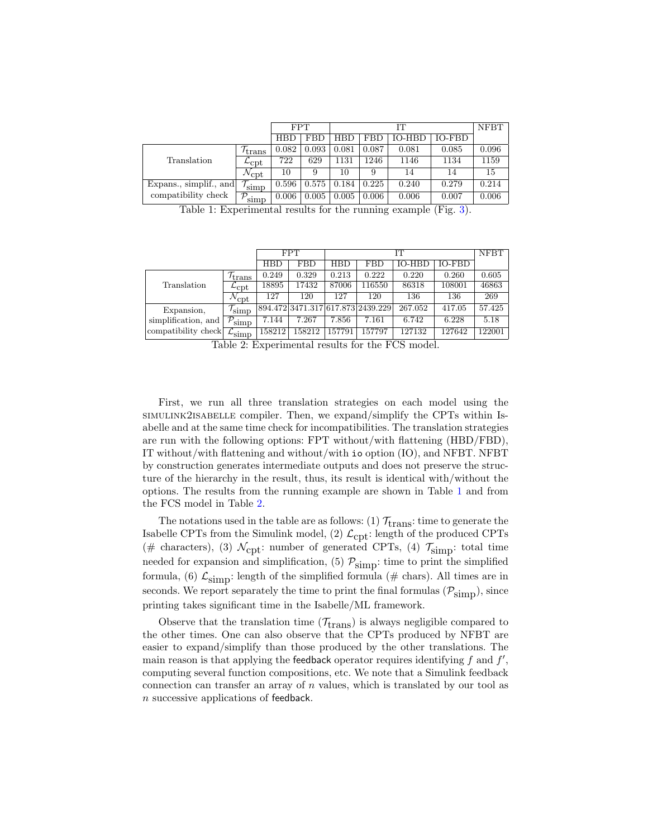<span id="page-13-0"></span>

|                                               |                       | <b>FPT</b> |            | IТ         |       |               |               | <b>NFBT</b> |
|-----------------------------------------------|-----------------------|------------|------------|------------|-------|---------------|---------------|-------------|
|                                               |                       | <b>HBD</b> | <b>FBD</b> | <b>HBD</b> | FBD   | <b>IO-HBD</b> | <b>IO-FBD</b> |             |
| Translation                                   | trans                 | 0.082      | 0.093      | 0.081      | 0.087 | 0.081         | 0.085         | 0.096       |
|                                               | $\sim$ cpt            | 722        | 629        | 1131       | 1246  | 1146          | 1134          | 1159        |
|                                               | $N_{\rm cpt}$         | 10         | 9          | 10         | 9     | 14            | 14            | 15          |
| Expans., simplif., and<br>compatibility check | $\tau_{\rm simp}$     | 0.596      | 0.575      | 0.184      | 0.225 | 0.240         | 0.279         | 0.214       |
|                                               | $\mathcal{D}$<br>simp | 0.006      | 0.005      | 0.005      | 0.006 | 0.006         | 0.007         | 0.006       |

Table 1: Experimental results for the running example (Fig. [3\)](#page-4-0).

<span id="page-13-1"></span>

|                                            |                             |            | FPT        |            | <b>NFBT</b>                       |         |        |        |
|--------------------------------------------|-----------------------------|------------|------------|------------|-----------------------------------|---------|--------|--------|
|                                            |                             | <b>HBD</b> | <b>FBD</b> | <b>HBD</b> | <b>FBD</b>                        | IO-HBD  | IO-FBD |        |
| Translation                                | trans                       | 0.249      | 0.329      | 0.213      | 0.222                             | 0.220   | 0.260  | 0.605  |
|                                            | $\sim$ cpt                  | 18895      | 17432      | 87006      | 116550                            | 86318   | 108001 | 46863  |
|                                            | $\mathcal{N}_{\text{cpt}}$  | 127        | 120        | 127        | 120                               | 136     | 136    | 269    |
| Expansion,                                 | simp                        |            |            |            | 894.472 3471.317 617.873 2439.229 | 267.052 | 417.05 | 57.425 |
| simplification, and<br>compatibility check | ${\cal P}$<br>simp          | 7.144      | 7.267      | 7.856      | 7.161                             | 6.742   | 6.228  | 5.18   |
|                                            | $\mathcal{L}_{\text{simp}}$ | 158212     | 158212     | 157791     | 157797                            | 127132  | 127642 | 122001 |

Table 2: Experimental results for the FCS model.

First, we run all three translation strategies on each model using the simulink2isabelle compiler. Then, we expand/simplify the CPTs within Isabelle and at the same time check for incompatibilities. The translation strategies are run with the following options: FPT without/with flattening (HBD/FBD), IT without/with flattening and without/with io option (IO), and NFBT. NFBT by construction generates intermediate outputs and does not preserve the structure of the hierarchy in the result, thus, its result is identical with/without the options. The results from the running example are shown in Table [1](#page-13-0) and from the FCS model in Table [2.](#page-13-1)

The notations used in the table are as follows: (1)  $\mathcal{T}_{trans}$ : time to generate the Isabelle CPTs from the Simulink model, (2)  $\mathcal{L}_\text{cpt}:$  length of the produced CPTs (# characters), (3)  $\mathcal{N}_{\text{cpt}}$ : number of generated CPTs, (4)  $\mathcal{T}_{\text{simp}}$ : total time needed for expansion and simplification, (5)  $\mathcal{P}_{simp}$ : time to print the simplified formula, (6)  $\mathcal{L}_{\text{simp}}$ : length of the simplified formula (# chars). All times are in seconds. We report separately the time to print the final formulas  $(\mathcal{P}_{simp})$ , since printing takes significant time in the Isabelle/ML framework.

Observe that the translation time  $(\mathcal{T}_{trans})$  is always negligible compared to the other times. One can also observe that the CPTs produced by NFBT are easier to expand/simplify than those produced by the other translations. The main reason is that applying the feedback operator requires identifying  $f$  and  $f'$ , computing several function compositions, etc. We note that a Simulink feedback connection can transfer an array of  $n$  values, which is translated by our tool as n successive applications of feedback.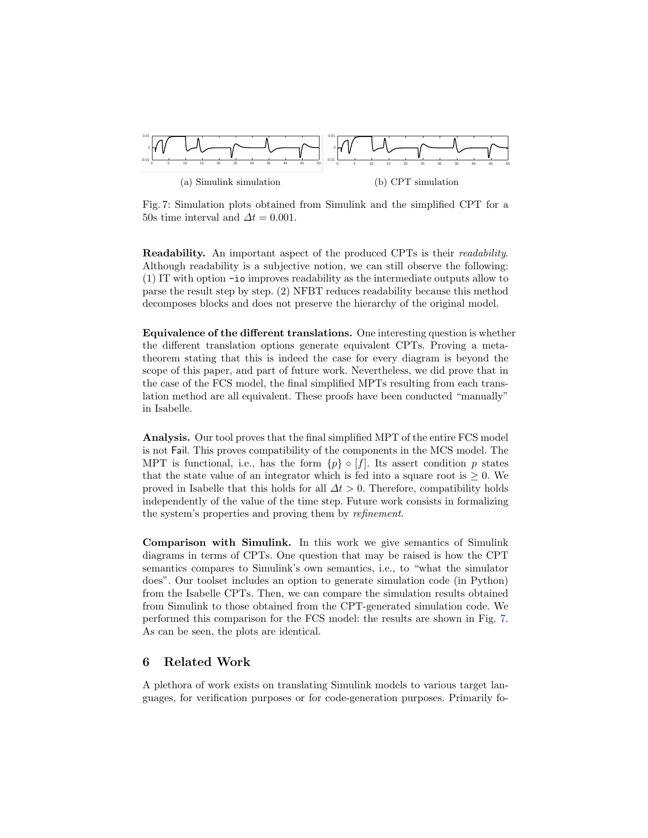<span id="page-14-0"></span>

Fig. 7: Simulation plots obtained from Simulink and the simplified CPT for a 50s time interval and  $\Delta t = 0.001$ .

Readability. An important aspect of the produced CPTs is their readability. Although readability is a subjective notion, we can still observe the following: (1) IT with option -io improves readability as the intermediate outputs allow to parse the result step by step. (2) NFBT reduces readability because this method decomposes blocks and does not preserve the hierarchy of the original model.

Equivalence of the different translations. One interesting question is whether the different translation options generate equivalent CPTs. Proving a metatheorem stating that this is indeed the case for every diagram is beyond the scope of this paper, and part of future work. Nevertheless, we did prove that in the case of the FCS model, the final simplified MPTs resulting from each translation method are all equivalent. These proofs have been conducted "manually" in Isabelle.

Analysis. Our tool proves that the final simplified MPT of the entire FCS model is not Fail. This proves compatibility of the components in the MCS model. The MPT is functional, i.e., has the form  $\{p\} \circ [f]$ . Its assert condition p states that the state value of an integrator which is fed into a square root is  $\geq 0$ . We proved in Isabelle that this holds for all  $\Delta t > 0$ . Therefore, compatibility holds independently of the value of the time step. Future work consists in formalizing the system's properties and proving them by refinement.

Comparison with Simulink. In this work we give semantics of Simulink diagrams in terms of CPTs. One question that may be raised is how the CPT semantics compares to Simulink's own semantics, i.e., to "what the simulator does". Our toolset includes an option to generate simulation code (in Python) from the Isabelle CPTs. Then, we can compare the simulation results obtained from Simulink to those obtained from the CPT-generated simulation code. We performed this comparison for the FCS model: the results are shown in Fig. [7.](#page-14-0) As can be seen, the plots are identical.

# 6 Related Work

A plethora of work exists on translating Simulink models to various target languages, for verification purposes or for code-generation purposes. Primarily fo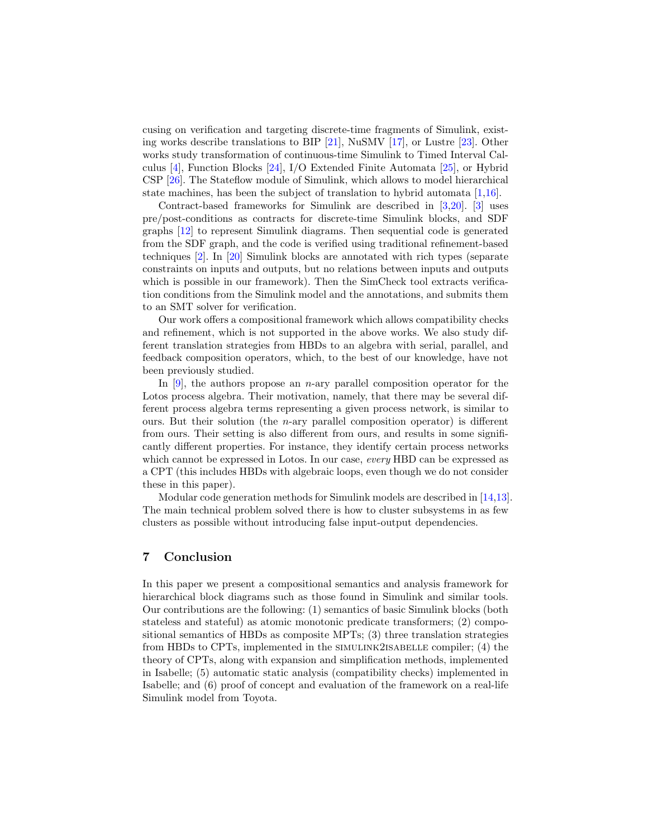cusing on verification and targeting discrete-time fragments of Simulink, existing works describe translations to BIP [\[21\]](#page-17-4), NuSMV [\[17\]](#page-17-5), or Lustre [\[23\]](#page-17-6). Other works study transformation of continuous-time Simulink to Timed Interval Calculus [\[4\]](#page-16-7), Function Blocks [\[24\]](#page-17-7), I/O Extended Finite Automata [\[25\]](#page-17-8), or Hybrid CSP [\[26\]](#page-17-9). The Stateflow module of Simulink, which allows to model hierarchical state machines, has been the subject of translation to hybrid automata [\[1,](#page-16-8)[16\]](#page-17-10).

Contract-based frameworks for Simulink are described in [\[3,](#page-16-9)[20\]](#page-17-11). [\[3\]](#page-16-9) uses pre/post-conditions as contracts for discrete-time Simulink blocks, and SDF graphs [\[12\]](#page-16-10) to represent Simulink diagrams. Then sequential code is generated from the SDF graph, and the code is verified using traditional refinement-based techniques [\[2\]](#page-16-0). In [\[20\]](#page-17-11) Simulink blocks are annotated with rich types (separate constraints on inputs and outputs, but no relations between inputs and outputs which is possible in our framework). Then the SimCheck tool extracts verification conditions from the Simulink model and the annotations, and submits them to an SMT solver for verification.

Our work offers a compositional framework which allows compatibility checks and refinement, which is not supported in the above works. We also study different translation strategies from HBDs to an algebra with serial, parallel, and feedback composition operators, which, to the best of our knowledge, have not been previously studied.

In  $[9]$ , the authors propose an *n*-ary parallel composition operator for the Lotos process algebra. Their motivation, namely, that there may be several different process algebra terms representing a given process network, is similar to ours. But their solution (the *n*-ary parallel composition operator) is different from ours. Their setting is also different from ours, and results in some significantly different properties. For instance, they identify certain process networks which cannot be expressed in Lotos. In our case, every HBD can be expressed as a CPT (this includes HBDs with algebraic loops, even though we do not consider these in this paper).

Modular code generation methods for Simulink models are described in [\[14,](#page-17-12)[13\]](#page-17-13). The main technical problem solved there is how to cluster subsystems in as few clusters as possible without introducing false input-output dependencies.

# 7 Conclusion

In this paper we present a compositional semantics and analysis framework for hierarchical block diagrams such as those found in Simulink and similar tools. Our contributions are the following: (1) semantics of basic Simulink blocks (both stateless and stateful) as atomic monotonic predicate transformers; (2) compositional semantics of HBDs as composite MPTs; (3) three translation strategies from HBDs to CPTs, implemented in the simulink2isabelle compiler; (4) the theory of CPTs, along with expansion and simplification methods, implemented in Isabelle; (5) automatic static analysis (compatibility checks) implemented in Isabelle; and (6) proof of concept and evaluation of the framework on a real-life Simulink model from Toyota.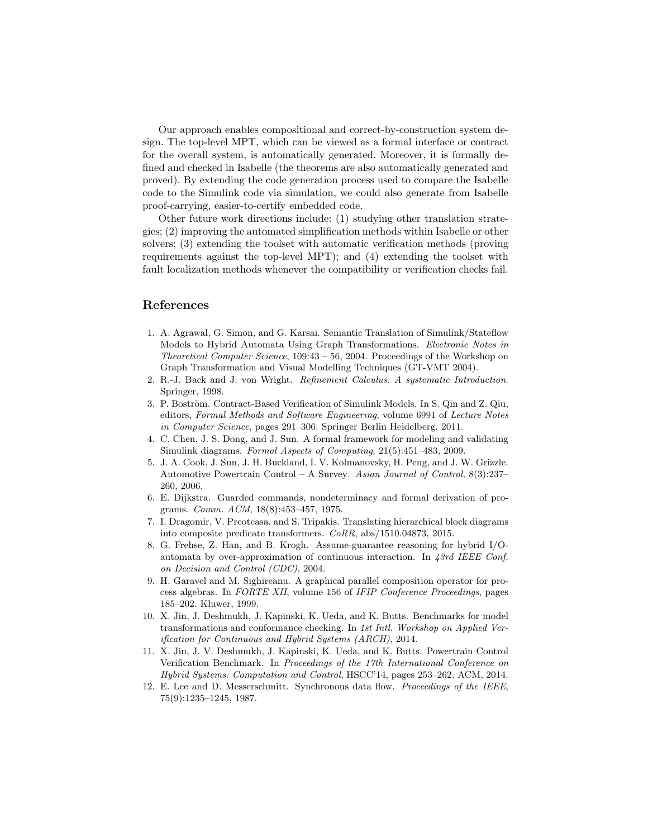Our approach enables compositional and correct-by-construction system design. The top-level MPT, which can be viewed as a formal interface or contract for the overall system, is automatically generated. Moreover, it is formally defined and checked in Isabelle (the theorems are also automatically generated and proved). By extending the code generation process used to compare the Isabelle code to the Simulink code via simulation, we could also generate from Isabelle proof-carrying, easier-to-certify embedded code.

Other future work directions include: (1) studying other translation strategies; (2) improving the automated simplification methods within Isabelle or other solvers; (3) extending the toolset with automatic verification methods (proving requirements against the top-level MPT); and (4) extending the toolset with fault localization methods whenever the compatibility or verification checks fail.

# References

- <span id="page-16-8"></span>1. A. Agrawal, G. Simon, and G. Karsai. Semantic Translation of Simulink/Stateflow Models to Hybrid Automata Using Graph Transformations. Electronic Notes in Theoretical Computer Science, 109:43 – 56, 2004. Proceedings of the Workshop on Graph Transformation and Visual Modelling Techniques (GT-VMT 2004).
- <span id="page-16-0"></span>2. R.-J. Back and J. von Wright. Refinement Calculus. A systematic Introduction. Springer, 1998.
- <span id="page-16-9"></span>3. P. Boström. Contract-Based Verification of Simulink Models. In S. Qin and Z. Qiu, editors, Formal Methods and Software Engineering, volume 6991 of Lecture Notes in Computer Science, pages 291–306. Springer Berlin Heidelberg, 2011.
- <span id="page-16-7"></span>4. C. Chen, J. S. Dong, and J. Sun. A formal framework for modeling and validating Simulink diagrams. Formal Aspects of Computing, 21(5):451–483, 2009.
- <span id="page-16-5"></span>5. J. A. Cook, J. Sun, J. H. Buckland, I. V. Kolmanovsky, H. Peng, and J. W. Grizzle. Automotive Powertrain Control – A Survey. Asian Journal of Control, 8(3):237– 260, 2006.
- <span id="page-16-3"></span>6. E. Dijkstra. Guarded commands, nondeterminacy and formal derivation of programs. Comm. ACM, 18(8):453–457, 1975.
- <span id="page-16-4"></span>7. I. Dragomir, V. Preoteasa, and S. Tripakis. Translating hierarchical block diagrams into composite predicate transformers. CoRR, abs/1510.04873, 2015.
- <span id="page-16-6"></span>8. G. Frehse, Z. Han, and B. Krogh. Assume-guarantee reasoning for hybrid I/Oautomata by over-approximation of continuous interaction. In 43rd IEEE Conf. on Decision and Control (CDC), 2004.
- <span id="page-16-11"></span>9. H. Garavel and M. Sighireanu. A graphical parallel composition operator for process algebras. In FORTE XII, volume 156 of IFIP Conference Proceedings, pages 185–202. Kluwer, 1999.
- <span id="page-16-1"></span>10. X. Jin, J. Deshmukh, J. Kapinski, K. Ueda, and K. Butts. Benchmarks for model transformations and conformance checking. In 1st Intl. Workshop on Applied Verification for Continuous and Hybrid Systems (ARCH), 2014.
- <span id="page-16-2"></span>11. X. Jin, J. V. Deshmukh, J. Kapinski, K. Ueda, and K. Butts. Powertrain Control Verification Benchmark. In Proceedings of the 17th International Conference on Hybrid Systems: Computation and Control, HSCC'14, pages 253–262. ACM, 2014.
- <span id="page-16-10"></span>12. E. Lee and D. Messerschmitt. Synchronous data flow. Proceedings of the IEEE, 75(9):1235–1245, 1987.